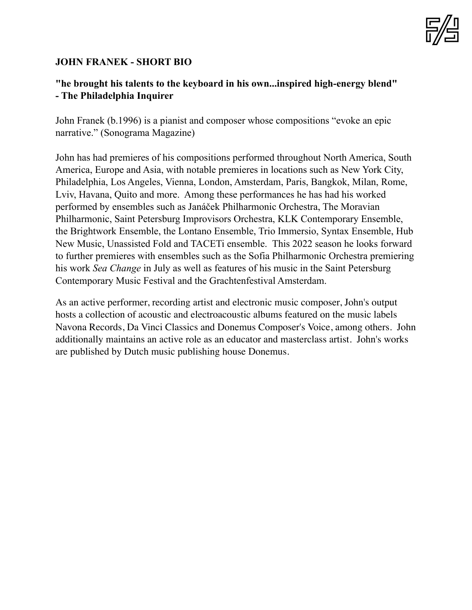

## **JOHN FRANEK - SHORT BIO**

## **"he brought his talents to the keyboard in his own...inspired high-energy blend" - The Philadelphia Inquirer**

John Franek (b.1996) is a pianist and composer whose compositions "evoke an epic narrative." (Sonograma Magazine)

John has had premieres of his compositions performed throughout North America, South America, Europe and Asia, with notable premieres in locations such as New York City, Philadelphia, Los Angeles, Vienna, London, Amsterdam, Paris, Bangkok, Milan, Rome, Lviv, Havana, Quito and more. Among these performances he has had his worked performed by ensembles such as Janáček Philharmonic Orchestra, The Moravian Philharmonic, Saint Petersburg Improvisors Orchestra, KLK Contemporary Ensemble, the Brightwork Ensemble, the Lontano Ensemble, Trio Immersio, Syntax Ensemble, Hub New Music, Unassisted Fold and TACETi ensemble. This 2022 season he looks forward to further premieres with ensembles such as the Sofia Philharmonic Orchestra premiering his work *Sea Change* in July as well as features of his music in the Saint Petersburg Contemporary Music Festival and the Grachtenfestival Amsterdam.

As an active performer, recording artist and electronic music composer, John's output hosts a collection of acoustic and electroacoustic albums featured on the music labels Navona Records, Da Vinci Classics and Donemus Composer's Voice, among others. John additionally maintains an active role as an educator and masterclass artist. John's works are published by Dutch music publishing house Donemus.